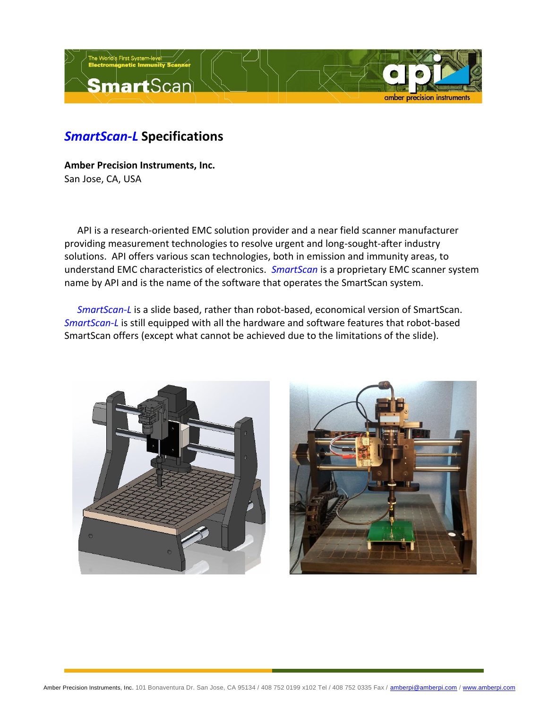

## *SmartScan-L* **Specifications**

**Amber Precision Instruments, Inc.** San Jose, CA, USA

API is a research-oriented EMC solution provider and a near field scanner manufacturer providing measurement technologies to resolve urgent and long-sought-after industry solutions. API offers various scan technologies, both in emission and immunity areas, to understand EMC characteristics of electronics. *SmartScan* is a proprietary EMC scanner system name by API and is the name of the software that operates the SmartScan system.

*SmartScan-L* is a slide based, rather than robot-based, economical version of SmartScan. *SmartScan-L* is still equipped with all the hardware and software features that robot-based SmartScan offers (except what cannot be achieved due to the limitations of the slide).



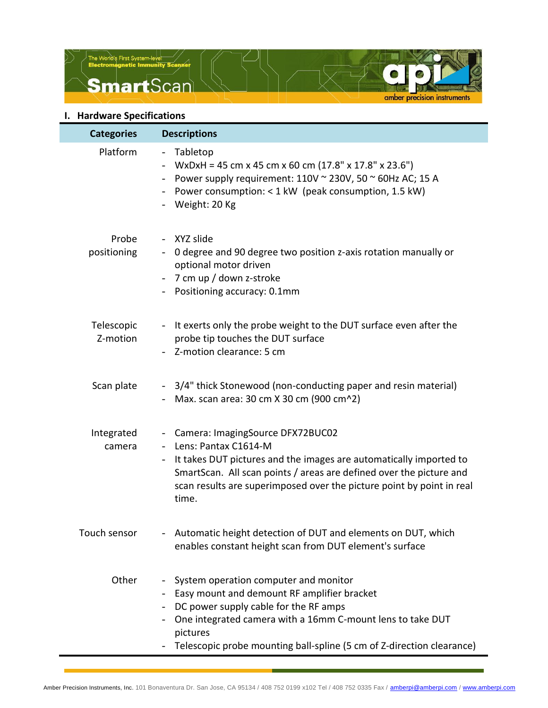



| <b>Categories</b>      | <b>Descriptions</b>                                                                                                                                                                                                                                                                                                   |
|------------------------|-----------------------------------------------------------------------------------------------------------------------------------------------------------------------------------------------------------------------------------------------------------------------------------------------------------------------|
| Platform               | Tabletop<br>$\overline{\phantom{a}}$<br>WxDxH = 45 cm x 45 cm x 60 cm $(17.8" \times 17.8" \times 23.6")$<br>Power supply requirement: $110V \approx 230V$ , $50 \approx 60Hz$ AC; 15 A<br>$\blacksquare$<br>- Power consumption: < 1 kW (peak consumption, 1.5 kW)<br>- Weight: 20 Kg                                |
| Probe<br>positioning   | - XYZ slide<br>0 degree and 90 degree two position z-axis rotation manually or<br>$\sim$<br>optional motor driven<br>- 7 cm up / down z-stroke<br>- Positioning accuracy: 0.1mm                                                                                                                                       |
| Telescopic<br>Z-motion | It exerts only the probe weight to the DUT surface even after the<br>$\blacksquare$<br>probe tip touches the DUT surface<br>- Z-motion clearance: 5 cm                                                                                                                                                                |
| Scan plate             | - 3/4" thick Stonewood (non-conducting paper and resin material)<br>- Max. scan area: $30 \text{ cm}$ X 30 cm (900 cm $\textdegree{}2)$                                                                                                                                                                               |
| Integrated<br>camera   | - Camera: ImagingSource DFX72BUC02<br>Lens: Pantax C1614-M<br>$\overline{\phantom{a}}$<br>It takes DUT pictures and the images are automatically imported to<br>SmartScan. All scan points / areas are defined over the picture and<br>scan results are superimposed over the picture point by point in real<br>time. |
| Touch sensor           | Automatic height detection of DUT and elements on DUT, which<br>enables constant height scan from DUT element's surface                                                                                                                                                                                               |
| Other                  | System operation computer and monitor<br>Easy mount and demount RF amplifier bracket<br>DC power supply cable for the RF amps<br>One integrated camera with a 16mm C-mount lens to take DUT<br>pictures<br>Telescopic probe mounting ball-spline (5 cm of Z-direction clearance)                                      |

amber precision instruments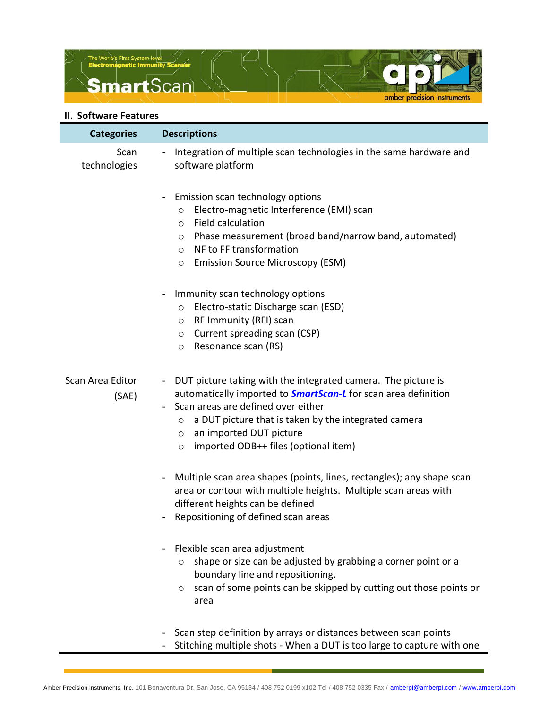



## **II. Software Features**

| <b>Categories</b>         | <b>Descriptions</b>                                                                                                                                                                                                                                                                                                                                        |
|---------------------------|------------------------------------------------------------------------------------------------------------------------------------------------------------------------------------------------------------------------------------------------------------------------------------------------------------------------------------------------------------|
| Scan<br>technologies      | Integration of multiple scan technologies in the same hardware and<br>$\blacksquare$<br>software platform                                                                                                                                                                                                                                                  |
|                           | Emission scan technology options<br>$\overline{\phantom{0}}$<br>Electro-magnetic Interference (EMI) scan<br>$\circ$<br>Field calculation<br>O<br>Phase measurement (broad band/narrow band, automated)<br>O<br>NF to FF transformation<br>$\circ$<br><b>Emission Source Microscopy (ESM)</b><br>O                                                          |
|                           | Immunity scan technology options<br>$\overline{\phantom{0}}$<br>Electro-static Discharge scan (ESD)<br>$\circ$<br>RF Immunity (RFI) scan<br>$\circ$<br>Current spreading scan (CSP)<br>$\circ$<br>Resonance scan (RS)<br>$\circ$                                                                                                                           |
| Scan Area Editor<br>(SAE) | DUT picture taking with the integrated camera. The picture is<br>$\blacksquare$<br>automatically imported to <b>SmartScan-L</b> for scan area definition<br>Scan areas are defined over either<br>a DUT picture that is taken by the integrated camera<br>$\circ$<br>an imported DUT picture<br>$\circ$<br>imported ODB++ files (optional item)<br>$\circ$ |
|                           | Multiple scan area shapes (points, lines, rectangles); any shape scan<br>$\blacksquare$<br>area or contour with multiple heights. Multiple scan areas with<br>different heights can be defined<br>Repositioning of defined scan areas<br>$\overline{\phantom{0}}$                                                                                          |
|                           | Flexible scan area adjustment<br>$\overline{\phantom{0}}$<br>shape or size can be adjusted by grabbing a corner point or a<br>$\circ$<br>boundary line and repositioning.<br>scan of some points can be skipped by cutting out those points or<br>$\circ$<br>area                                                                                          |
|                           | Scan step definition by arrays or distances between scan points<br>Stitching multiple shots - When a DUT is too large to capture with one                                                                                                                                                                                                                  |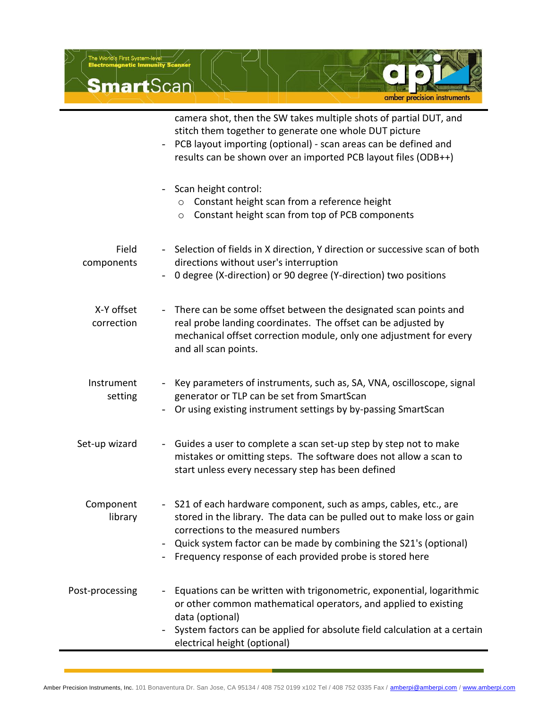

|                          | camera shot, then the SW takes multiple shots of partial DUT, and<br>stitch them together to generate one whole DUT picture<br>PCB layout importing (optional) - scan areas can be defined and<br>$\overline{\phantom{0}}$<br>results can be shown over an imported PCB layout files (ODB++)                        |
|--------------------------|---------------------------------------------------------------------------------------------------------------------------------------------------------------------------------------------------------------------------------------------------------------------------------------------------------------------|
|                          | - Scan height control:<br>Constant height scan from a reference height<br>$\circ$<br>Constant height scan from top of PCB components<br>$\circ$                                                                                                                                                                     |
| Field<br>components      | - Selection of fields in X direction, Y direction or successive scan of both<br>directions without user's interruption<br>0 degree (X-direction) or 90 degree (Y-direction) two positions                                                                                                                           |
| X-Y offset<br>correction | - There can be some offset between the designated scan points and<br>real probe landing coordinates. The offset can be adjusted by<br>mechanical offset correction module, only one adjustment for every<br>and all scan points.                                                                                    |
| Instrument<br>setting    | Key parameters of instruments, such as, SA, VNA, oscilloscope, signal<br>generator or TLP can be set from SmartScan<br>Or using existing instrument settings by by-passing SmartScan                                                                                                                                |
| Set-up wizard            | - Guides a user to complete a scan set-up step by step not to make<br>mistakes or omitting steps. The software does not allow a scan to<br>start unless every necessary step has been defined                                                                                                                       |
| Component<br>library     | - S21 of each hardware component, such as amps, cables, etc., are<br>stored in the library. The data can be pulled out to make loss or gain<br>corrections to the measured numbers<br>Quick system factor can be made by combining the S21's (optional)<br>Frequency response of each provided probe is stored here |
| Post-processing          | Equations can be written with trigonometric, exponential, logarithmic<br>or other common mathematical operators, and applied to existing<br>data (optional)<br>System factors can be applied for absolute field calculation at a certain<br>electrical height (optional)                                            |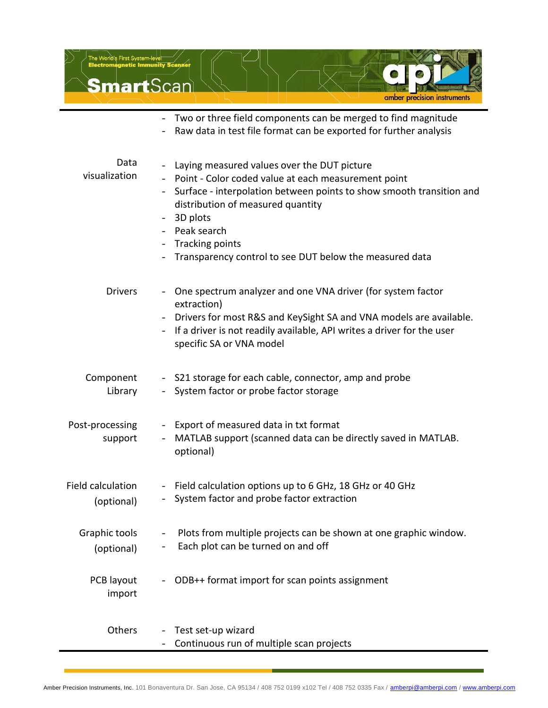

Continuous run of multiple scan projects